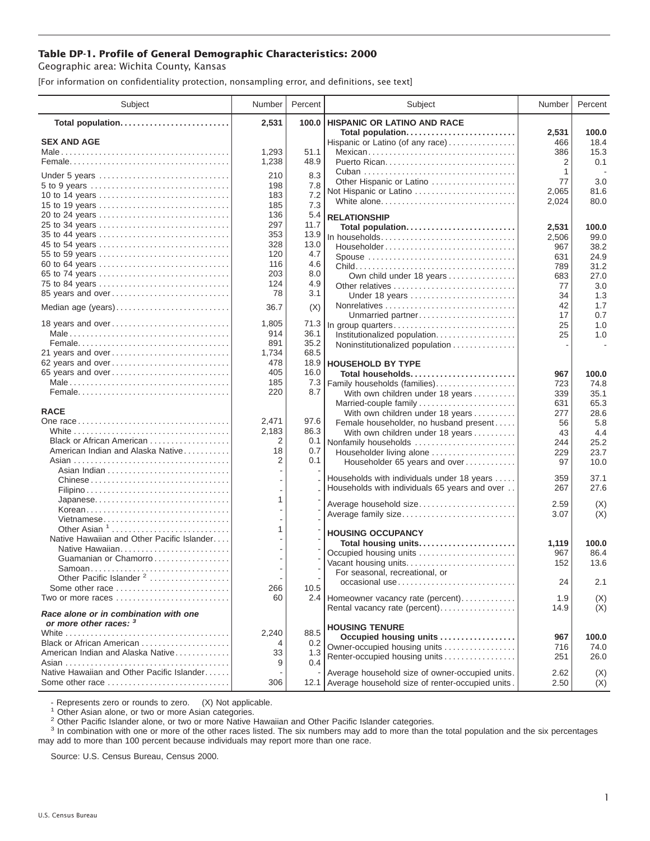## **Table DP-1. Profile of General Demographic Characteristics: 2000**

Geographic area: Wichita County, Kansas

[For information on confidentiality protection, nonsampling error, and definitions, see text]

| Subject                                                         | Number     | Percent    | Subject                                                                         | Number              | Percent               |
|-----------------------------------------------------------------|------------|------------|---------------------------------------------------------------------------------|---------------------|-----------------------|
| Total population                                                | 2,531      | 100.0      | <b>HISPANIC OR LATINO AND RACE</b>                                              |                     |                       |
| <b>SEX AND AGE</b>                                              | 1,293      | 51.1       | Total population<br>Hispanic or Latino (of any race)<br>Mexican                 | 2,531<br>466<br>386 | 100.0<br>18.4<br>15.3 |
|                                                                 | 1,238      | 48.9       |                                                                                 | 2                   | 0.1                   |
| Under 5 years                                                   | 210        | 8.3        | Other Hispanic or Latino                                                        | 1<br>77             | 3.0                   |
| 10 to 14 years                                                  | 198<br>183 | 7.8<br>7.2 | Not Hispanic or Latino                                                          | 2,065               | 81.6                  |
| 15 to 19 years                                                  | 185        | 7.3        | White alone                                                                     | 2,024               | 80.0                  |
|                                                                 | 136        | 5.4        | <b>RELATIONSHIP</b>                                                             |                     |                       |
| 25 to 34 years                                                  | 297        | 11.7       | Total population                                                                | 2,531               | 100.0                 |
| 35 to 44 years                                                  | 353        | 13.9       | In households                                                                   | 2,506               | 99.0                  |
| 45 to 54 years                                                  | 328        | 13.0       | $Householder \dots \dots \dots \dots \dots \dots \dots \dots \dots \dots \dots$ | 967                 | 38.2                  |
| 55 to 59 years                                                  | 120        | 4.7        | Spouse                                                                          | 631                 | 24.9                  |
| 60 to 64 years                                                  | 116        | 4.6        |                                                                                 | 789                 | 31.2                  |
| 65 to 74 years                                                  | 203<br>124 | 8.0<br>4.9 | Own child under 18 years                                                        | 683                 | 27.0                  |
| 75 to 84 years<br>85 years and over                             | 78         | 3.1        | Under 18 years                                                                  | 77<br>34            | 3.0<br>1.3            |
|                                                                 |            |            |                                                                                 | 42                  | 1.7                   |
| Median age (years)                                              | 36.7       | (X)        | Unmarried partner                                                               | 17                  | 0.7                   |
| 18 years and over                                               | 1,805      | 71.3       | In group quarters                                                               | 25                  | 1.0                   |
|                                                                 | 914        | 36.1       | Institutionalized population.                                                   | 25                  | 1.0                   |
|                                                                 | 891        | 35.2       | Noninstitutionalized population                                                 |                     |                       |
| 21 years and over                                               | 1,734      | 68.5       |                                                                                 |                     |                       |
| 62 years and over                                               | 478        | 18.9       | <b>HOUSEHOLD BY TYPE</b>                                                        |                     |                       |
| 65 years and over                                               | 405        | 16.0       | Total households                                                                | 967                 | 100.0                 |
|                                                                 | 185<br>220 | 7.3<br>8.7 | Family households (families)                                                    | 723                 | 74.8<br>35.1          |
|                                                                 |            |            | With own children under 18 years<br>Married-couple family                       | 339<br>631          | 65.3                  |
| <b>RACE</b>                                                     |            |            | With own children under 18 years                                                | 277                 | 28.6                  |
|                                                                 | 2,471      | 97.6       | Female householder, no husband present                                          | 56                  | 5.8                   |
|                                                                 | 2,183      | 86.3       | With own children under 18 years                                                | 43                  | 4.4                   |
| Black or African American                                       | 2          | 0.1        | Nonfamily households                                                            | 244                 | 25.2                  |
| American Indian and Alaska Native                               | 18         | 0.7        | Householder living alone                                                        | 229                 | 23.7                  |
|                                                                 | 2          | 0.1        | Householder 65 years and over                                                   | 97                  | 10.0                  |
| Chinese                                                         |            |            | Households with individuals under 18 years                                      | 359                 | 37.1                  |
|                                                                 |            |            | Households with individuals 65 years and over                                   | 267                 | 27.6                  |
| Japanese                                                        | 1          |            |                                                                                 |                     |                       |
| Korean                                                          |            |            | Average household size                                                          | 2.59<br>3.07        | (X)<br>(X)            |
| Vietnamese                                                      |            |            | Average family size                                                             |                     |                       |
| Other Asian $1, \ldots, \ldots, \ldots, \ldots, \ldots, \ldots$ | 1          |            | <b>HOUSING OCCUPANCY</b>                                                        |                     |                       |
| Native Hawaiian and Other Pacific Islander                      |            |            | Total housing units                                                             | 1,119               | 100.0                 |
| Native Hawaiian                                                 |            |            | Occupied housing units                                                          | 967                 | 86.4                  |
| Guamanian or Chamorro                                           |            |            | Vacant housing units                                                            | 152                 | 13.6                  |
| Samoan<br>Other Pacific Islander <sup>2</sup>                   |            |            | For seasonal, recreational, or                                                  |                     |                       |
| Some other race                                                 | 266        | 10.5       | occasional use                                                                  | 24                  | 2.1                   |
| Two or more races                                               | 60         |            | 2.4 Homeowner vacancy rate (percent)                                            | 1.9                 | (X)                   |
| Race alone or in combination with one                           |            |            | Rental vacancy rate (percent)                                                   | 14.9                | (X)                   |
| or more other races: 3                                          | 2,240      | 88.5       | <b>HOUSING TENURE</b>                                                           |                     |                       |
| Black or African American                                       | 4          | 0.2        | Occupied housing units                                                          | 967                 | 100.0                 |
| American Indian and Alaska Native                               | 33         | 1.3        | Owner-occupied housing units                                                    | 716                 | 74.0                  |
|                                                                 | 9          | 0.4        | Renter-occupied housing units                                                   | 251                 | 26.0                  |
| Native Hawaiian and Other Pacific Islander                      |            |            | Average household size of owner-occupied units.                                 | 2.62                | (X)                   |
| Some other race                                                 | 306        |            | 12.1 Average household size of renter-occupied units.                           | 2.50                | (X)                   |

- Represents zero or rounds to zero. (X) Not applicable.<br><sup>1</sup> Other Asian alone, or two or more Asian categories.

<sup>2</sup> Other Pacific Islander alone, or two or more Native Hawaiian and Other Pacific Islander categories.<br><sup>3</sup> In combination with one or more of the other races listed. The six numbers may add to more than the total populati may add to more than 100 percent because individuals may report more than one race.

Source: U.S. Census Bureau, Census 2000.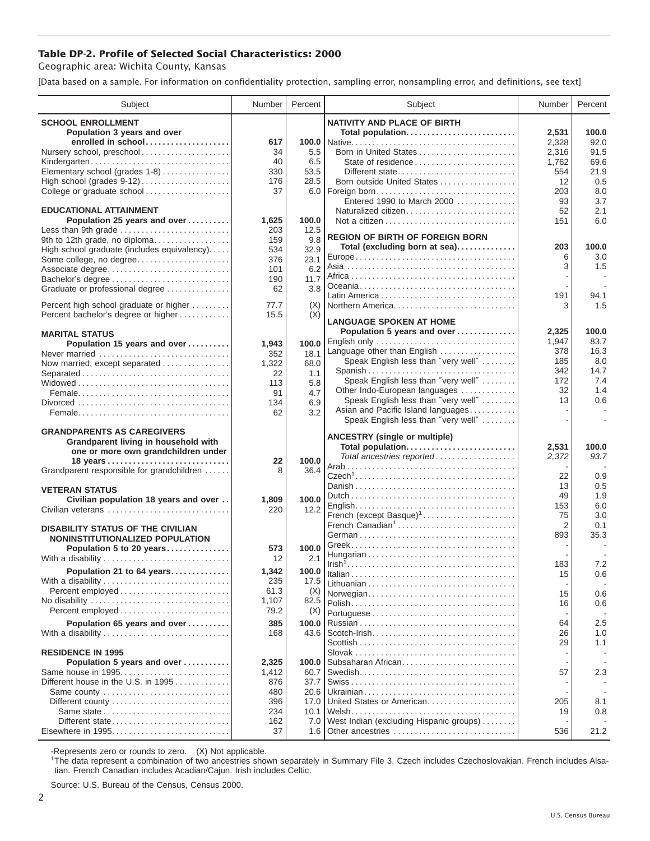## **Table DP-2. Profile of Selected Social Characteristics: 2000**

Geographic area: Wichita County, Kansas

[Data based on a sample. For information on confidentiality protection, sampling error, nonsampling error, and definitions, see text]

| Subject                                                    | Number       | Percent      | Subject                                                              | Number         | Percent       |
|------------------------------------------------------------|--------------|--------------|----------------------------------------------------------------------|----------------|---------------|
| <b>SCHOOL ENROLLMENT</b>                                   |              |              | <b>NATIVITY AND PLACE OF BIRTH</b>                                   |                |               |
| Population 3 years and over                                |              |              | Total population                                                     | 2.531          | 100.0         |
| enrolled in school                                         | 617          | 100.0        |                                                                      | 2,328          | 92.0          |
| Nursery school, preschool                                  | 34           | 5.5          | Born in United States                                                | 2,316          | 91.5          |
| Kindergarten                                               | 40           | 6.5          | State of residence                                                   | 1,762          | 69.6          |
| Elementary school (grades 1-8)                             | 330          | 53.5         | Different state                                                      | 554            | 21.9          |
| High school (grades 9-12)                                  | 176          | 28.5         | Born outside United States                                           | 12             | 0.5           |
| College or graduate school                                 | 37           |              |                                                                      | 203            | 8.0           |
| <b>EDUCATIONAL ATTAINMENT</b>                              |              |              | Entered 1990 to March 2000                                           | 93             | 3.7           |
| Population 25 years and over                               | 1,625        | 100.0        | Naturalized citizen                                                  | 52<br>151      | 2.1<br>6.0    |
| Less than 9th grade                                        | 203          | 12.5         |                                                                      |                |               |
| 9th to 12th grade, no diploma                              | 159          | 9.8          | <b>REGION OF BIRTH OF FOREIGN BORN</b>                               |                |               |
| High school graduate (includes equivalency)                | 534          | 32.9         | Total (excluding born at sea)                                        | 203            | 100.0         |
| Some college, no degree                                    | 376          | 23.1         |                                                                      | 6              | 3.0           |
| Associate degree                                           | 101          | 6.2          |                                                                      | 3              | 1.5           |
| Bachelor's degree                                          | 190          | 11.7         |                                                                      |                |               |
| Graduate or professional degree                            | 62           | 3.8          |                                                                      | 191            |               |
| Percent high school graduate or higher                     | 77.7         | (X)          | Northern America                                                     | 3              | 94.1<br>1.5   |
| Percent bachelor's degree or higher                        | 15.5         | (X)          |                                                                      |                |               |
|                                                            |              |              | <b>LANGUAGE SPOKEN AT HOME</b>                                       |                |               |
| <b>MARITAL STATUS</b>                                      |              |              | Population 5 years and over                                          | 2,325          | 100.0         |
| Population 15 years and over                               | 1,943        | 100.0        | English only                                                         | 1,947          | 83.7          |
| Never married                                              | 352          | 18.1         | Language other than English                                          | 378            | 16.3          |
| Now married, except separated                              | 1,322        | 68.0         | Speak English less than "very well"                                  | 185            | 8.0           |
| Separated                                                  | 22           | 1.1          | Spanish                                                              | 342            | 14.7          |
|                                                            | 113          | 5.8          | Speak English less than "very well"<br>Other Indo-European languages | 172<br>32      | 7.4<br>1.4    |
|                                                            | 91           | 4.7          | Speak English less than "very well"                                  | 13             | 0.6           |
|                                                            | 134          | 6.9<br>3.2   | Asian and Pacific Island languages                                   |                |               |
|                                                            | 62           |              | Speak English less than "very well"                                  |                |               |
| <b>GRANDPARENTS AS CAREGIVERS</b>                          |              |              |                                                                      |                |               |
| Grandparent living in household with                       |              |              | <b>ANCESTRY (single or multiple)</b>                                 |                |               |
| one or more own grandchildren under                        |              |              | Total population<br>Total ancestries reported                        | 2,531          | 100.0<br>93.7 |
|                                                            | 22           | 100.0        |                                                                      | 2,372          |               |
| Grandparent responsible for grandchildren                  | 8            | 36.4         |                                                                      | 22             | 0.9           |
|                                                            |              |              |                                                                      | 13             | 0.5           |
| <b>VETERAN STATUS</b>                                      |              | 100.0        |                                                                      | 49             | 1.9           |
| Civilian population 18 years and over<br>Civilian veterans | 1,809<br>220 | 12.2         |                                                                      | 153            | 6.0           |
|                                                            |              |              | French (except Basque) <sup>1</sup>                                  | 75             | 3.0           |
| <b>DISABILITY STATUS OF THE CIVILIAN</b>                   |              |              | French Canadian <sup>1</sup>                                         | $\overline{2}$ | 0.1           |
| NONINSTITUTIONALIZED POPULATION                            |              |              |                                                                      | 893            | 35.3          |
| Population 5 to 20 years                                   | 573          | 100.0        |                                                                      |                |               |
| With a disability                                          | 12           | 2.1          |                                                                      |                | 7.2           |
| Population 21 to 64 years                                  | 1,342        | 100.0        |                                                                      | 183<br>15      | 0.6           |
| With a disability                                          | 235          | 17.5         |                                                                      |                |               |
|                                                            | 61.3         | (X)          | Norwegian                                                            | 15             | 0.6           |
| No disability                                              | 1,107        | 82.5         |                                                                      | 16             | 0.6           |
|                                                            | 79.2         | (X)          |                                                                      |                |               |
| Population 65 years and over                               | 385          | 100.0        |                                                                      | 64             | 2.5           |
| With a disability                                          | 168          | 43.6         |                                                                      | 26             | 1.0           |
|                                                            |              |              |                                                                      | 29             | 1.1           |
| <b>RESIDENCE IN 1995</b>                                   |              |              |                                                                      |                |               |
| Population 5 years and over                                | 2,325        | 100.0        | Subsaharan African                                                   |                |               |
| Same house in 1995                                         | 1,412        | 60.7         |                                                                      | 57             | 2.3           |
| Different house in the U.S. in 1995                        | 876          | 37.7         |                                                                      |                |               |
| Same county<br>Different county                            | 480<br>396   | 20.6<br>17.0 | United States or American                                            | 205            | 8.1           |
| Same state                                                 | 234          | 10.1         |                                                                      | 19             | 0.8           |
| Different state                                            | 162          | 7.0          | West Indian (excluding Hispanic groups)                              |                |               |
| Elsewhere in 1995                                          | 37           | 1.6          | Other ancestries                                                     | 536            | 21.2          |
|                                                            |              |              |                                                                      |                |               |

-Represents zero or rounds to zero. (X) Not applicable. 1 The data represent a combination of two ancestries shown separately in Summary File 3. Czech includes Czechoslovakian. French includes Alsatian. French Canadian includes Acadian/Cajun. Irish includes Celtic.

Source: U.S. Bureau of the Census, Census 2000.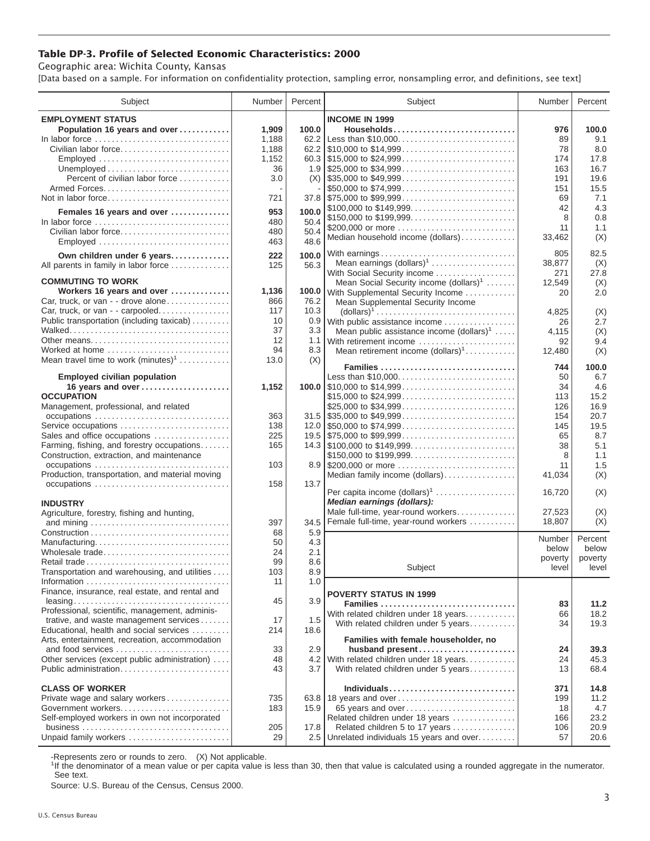## **Table DP-3. Profile of Selected Economic Characteristics: 2000**

Geographic area: Wichita County, Kansas

[Data based on a sample. For information on confidentiality protection, sampling error, nonsampling error, and definitions, see text]

| Subject                                                                            | Number       | Percent       | Subject                                                                                                                 | Number       | Percent      |
|------------------------------------------------------------------------------------|--------------|---------------|-------------------------------------------------------------------------------------------------------------------------|--------------|--------------|
| <b>EMPLOYMENT STATUS</b>                                                           |              |               | <b>INCOME IN 1999</b>                                                                                                   |              |              |
| Population 16 years and over                                                       | 1,909        | 100.0         | Households                                                                                                              | 976          | 100.0        |
| In labor force                                                                     | 1,188        | 62.2          |                                                                                                                         | 89           | 9.1          |
| Civilian labor force                                                               | 1,188        |               |                                                                                                                         | 78           | 8.0          |
| Employed                                                                           | 1,152        |               |                                                                                                                         | 174          | 17.8         |
|                                                                                    | 36           |               |                                                                                                                         | 163          | 16.7         |
| Percent of civilian labor force                                                    | 3.0          |               | $(X)$ \\ \$35,000 to \$49,999                                                                                           | 191          | 19.6         |
|                                                                                    |              |               | \$50,000 to \$74,999                                                                                                    | 151          | 15.5         |
| Not in labor force                                                                 | 721          |               | $37.8$ \\$75,000 to \$99,999                                                                                            | 69           | 7.1          |
| Females 16 years and over                                                          | 953          | 100.0         | \$100,000 to \$149,999                                                                                                  | 42           | 4.3          |
| In labor force $\dots\dots\dots\dots\dots\dots\dots\dots\dots\dots\dots\dots\dots$ | 480          | 50.4          | \$150,000 to \$199,999                                                                                                  | 8            | 0.8          |
| Civilian labor force                                                               | 480          | 50.4          | \$200,000 or more<br>Median household income (dollars)                                                                  | 11<br>33,462 | 1.1<br>(X)   |
|                                                                                    | 463          | 48.6          |                                                                                                                         |              |              |
| Own children under 6 years                                                         | 222          | 100.0         | With earnings                                                                                                           | 805          | 82.5         |
| All parents in family in labor force                                               | 125          | 56.3          | Mean earnings (dollars) <sup>1</sup>                                                                                    | 38,877       | (X)          |
|                                                                                    |              |               | With Social Security income                                                                                             | 271          | 27.8         |
| <b>COMMUTING TO WORK</b>                                                           |              |               | Mean Social Security income (dollars) <sup>1</sup>                                                                      | 12,549       | (X)          |
| Workers 16 years and over<br>Car, truck, or van - - drove alone                    | 1,136<br>866 | 100.0<br>76.2 | With Supplemental Security Income                                                                                       | 20           | 2.0          |
| Car, truck, or van - - carpooled                                                   | 117          | 10.3          | Mean Supplemental Security Income                                                                                       |              |              |
| Public transportation (including taxicab)                                          | 10           | 0.9           | $\text{(dollars)}^1 \dots \dots \dots \dots \dots \dots \dots \dots \dots \dots \dots$<br>With public assistance income | 4,825        | (X)<br>2.7   |
|                                                                                    | 37           | 3.3           | Mean public assistance income $(dollars)1$                                                                              | 26<br>4,115  | (X)          |
| Other means                                                                        | 12           | 1.1           | With retirement income                                                                                                  | 92           | 9.4          |
| Worked at home                                                                     | 94           | 8.3           | Mean retirement income $(dollars)1$                                                                                     | 12,480       | (X)          |
| Mean travel time to work $(minutes)^1$                                             | 13.0         | (X)           |                                                                                                                         |              |              |
|                                                                                    |              |               | Families                                                                                                                | 744          | 100.0        |
| <b>Employed civilian population</b>                                                |              |               | Less than \$10,000                                                                                                      | 50           | 6.7          |
| 16 years and over                                                                  | 1,152        |               |                                                                                                                         | 34           | 4.6          |
| <b>OCCUPATION</b>                                                                  |              |               | \$15,000 to \$24,999                                                                                                    | 113          | 15.2         |
| Management, professional, and related                                              | 363          |               | \$25,000 to \$34,999<br>$31.5$ \\$35,000 to \$49,999                                                                    | 126          | 16.9<br>20.7 |
| Service occupations                                                                | 138          |               |                                                                                                                         | 154<br>145   | 19.5         |
| Sales and office occupations                                                       | 225          |               |                                                                                                                         | 65           | 8.7          |
| Farming, fishing, and forestry occupations                                         | 165          |               |                                                                                                                         | 38           | 5.1          |
| Construction, extraction, and maintenance                                          |              |               | \$150,000 to \$199,999                                                                                                  | 8            | 1.1          |
| occupations                                                                        | 103          |               | 8.9 \$200,000 or more                                                                                                   | 11           | 1.5          |
| Production, transportation, and material moving                                    |              |               | Median family income (dollars)                                                                                          | 41,034       | (X)          |
|                                                                                    | 158          | 13.7          |                                                                                                                         |              |              |
|                                                                                    |              |               | Per capita income (dollars) <sup>1</sup>                                                                                | 16,720       | (X)          |
| <b>INDUSTRY</b>                                                                    |              |               | Median earnings (dollars):                                                                                              |              |              |
| Agriculture, forestry, fishing and hunting,                                        |              |               | Male full-time, year-round workers                                                                                      | 27,523       | (X)          |
|                                                                                    | 397          | 34.5          | Female full-time, year-round workers                                                                                    | 18,807       | (X)          |
|                                                                                    | 68<br>50     | 5.9<br>4.3    |                                                                                                                         | Number       | Percent      |
| Manufacturing<br>Wholesale trade                                                   | 24           | 2.1           |                                                                                                                         | below        | below        |
| Retail trade                                                                       | 99           | 8.6           |                                                                                                                         | poverty      | poverty      |
| Transportation and warehousing, and utilities                                      | 103          | 8.9           | Subject                                                                                                                 | level        | level        |
|                                                                                    | 11           | 1.0           |                                                                                                                         |              |              |
| Finance, insurance, real estate, and rental and                                    |              |               | <b>POVERTY STATUS IN 1999</b>                                                                                           |              |              |
|                                                                                    | 45           | 3.9           | Families                                                                                                                | 83           | 11.2         |
| Professional, scientific, management, adminis-                                     |              |               | With related children under 18 years                                                                                    | 66           | 18.2         |
| trative, and waste management services                                             | 17           | 1.5           | With related children under 5 years                                                                                     | 34           | 19.3         |
| Educational, health and social services                                            | 214          | 18.6          |                                                                                                                         |              |              |
| Arts, entertainment, recreation, accommodation                                     |              |               | Families with female householder, no                                                                                    |              |              |
| and food services                                                                  | 33<br>48     | 2.9           | husband present<br>4.2 With related children under 18 years                                                             | 24<br>24     | 39.3<br>45.3 |
| Other services (except public administration)<br>Public administration             | 43           | 3.7           | With related children under 5 years                                                                                     | 13           | 68.4         |
|                                                                                    |              |               |                                                                                                                         |              |              |
| <b>CLASS OF WORKER</b>                                                             |              |               | Individuals                                                                                                             | 371          | 14.8         |
| Private wage and salary workers                                                    | 735          |               | 63.8 18 years and over                                                                                                  | 199          | 11.2         |
| Government workers                                                                 | 183          | 15.9          | 65 years and over                                                                                                       | 18           | 4.7          |
| Self-employed workers in own not incorporated                                      |              |               | Related children under 18 years                                                                                         | 166          | 23.2         |
|                                                                                    | 205          | 17.8          | Related children 5 to 17 years                                                                                          | 106          | 20.9         |
| Unpaid family workers                                                              | 29           | 2.5           | Unrelated individuals 15 years and over                                                                                 | 57           | 20.6         |

-Represents zero or rounds to zero. (X) Not applicable.

<sup>1</sup>If the denominator of a mean value or per capita value is less than 30, then that value is calculated using a rounded aggregate in the numerator. See text.

Source: U.S. Bureau of the Census, Census 2000.